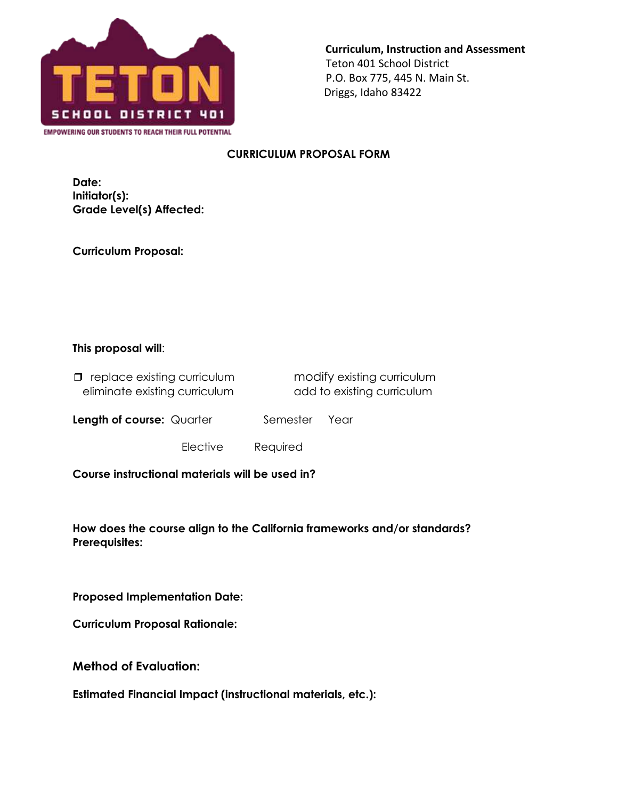

**Curriculum, Instruction and Assessment** Teton 401 School District P.O. Box 775, 445 N. Main St. Driggs, Idaho 83422

## **CURRICULUM PROPOSAL FORM**

**Date: Initiator(s): Grade Level(s) Affected:** 

**Curriculum Proposal:**

## **This proposal will**:

| $\Box$ replace existing curriculum | modify existing curriculum |
|------------------------------------|----------------------------|
| eliminate existing curriculum      | add to existing curriculum |

**Length of course:** Quarter **Semester** Year

Elective Required

**Course instructional materials will be used in?** 

**How does the course align to the California frameworks and/or standards? Prerequisites:**

**Proposed Implementation Date:**

**Curriculum Proposal Rationale:**

**Method of Evaluation:**

**Estimated Financial Impact (instructional materials, etc.):**